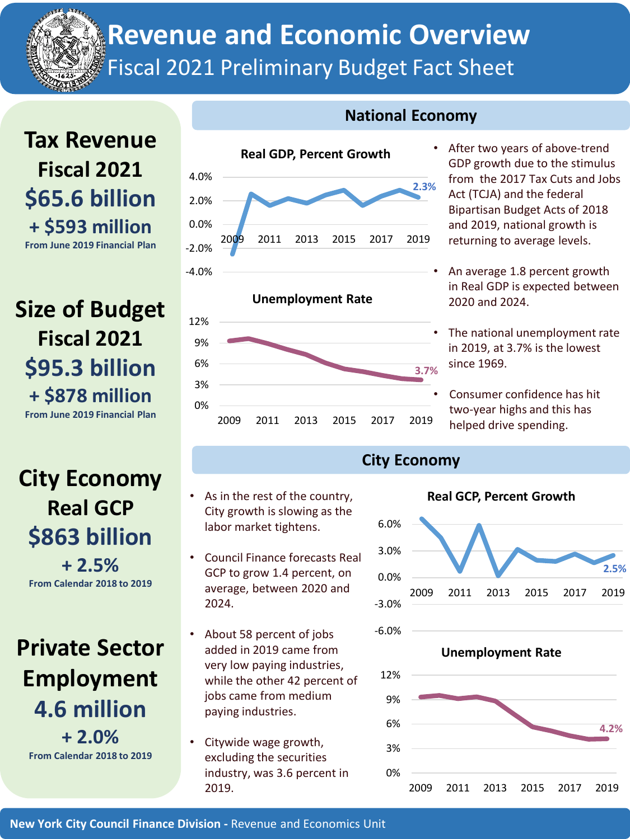**Revenue and Economic Overview**

Fiscal 2021 Preliminary Budget Fact Sheet

## **Tax Revenue Fiscal 2021 \$65.6 billion + \$593 million From June 2019 Financial Plan**

**Size of Budget Fiscal 2021 \$95.3 billion + \$878 million From June 2019 Financial Plan**

# **City Economy Real GCP \$863 billion + 2.5% From Calendar 2018 to 2019**

**Private Sector Employment 4.6 million + 2.0% From Calendar 2018 to 2019**



As in the rest of the country, City growth is slowing as the labor market tightens.

• Council Finance forecasts Real GCP to grow 1.4 percent, on average, between 2020 and

• About 58 percent of jobs added in 2019 came from very low paying industries, while the other 42 percent of jobs came from medium

paying industries.

• Citywide wage growth, excluding the securities industry, was 3.6 percent in

### **National Economy**

- After two years of above-trend GDP growth due to the stimulus from the 2017 Tax Cuts and Jobs Act (TCJA) and the federal Bipartisan Budget Acts of 2018 and 2019, national growth is returning to average levels.
- An average 1.8 percent growth in Real GDP is expected between 2020 and 2024.
- The national unemployment rate in 2019, at 3.7% is the lowest since 1969.
- Consumer confidence has hit two-year highs and this has helped drive spending.

#### **City Economy**



#### **Real GCP, Percent Growth**

**New York City Council Finance Division -** Revenue and Economics Unit

2019.

2024.